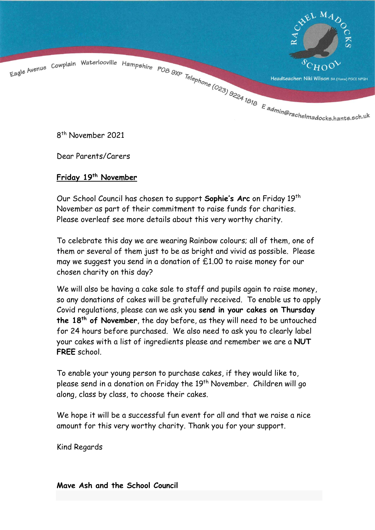

8 th November 2021

Dear Parents/Carers

## **Friday 19th November**

Our School Council has chosen to support **Sophie's Arc** on Friday 19th November as part of their commitment to raise funds for charities. Please overleaf see more details about this very worthy charity.

To celebrate this day we are wearing Rainbow colours; all of them, one of them or several of them just to be as bright and vivid as possible. Please may we suggest you send in a donation of £1.00 to raise money for our chosen charity on this day?

We will also be having a cake sale to staff and pupils again to raise money, so any donations of cakes will be gratefully received. To enable us to apply Covid regulations, please can we ask you **send in your cakes on Thursday the 18th of November**, the day before, as they will need to be untouched for 24 hours before purchased. We also need to ask you to clearly label your cakes with a list of ingredients please and remember we are a **NUT FREE** school.

To enable your young person to purchase cakes, if they would like to, please send in a donation on Friday the 19<sup>th</sup> November. Children will go along, class by class, to choose their cakes.

We hope it will be a successful fun event for all and that we raise a nice amount for this very worthy charity. Thank you for your support.

Kind Regards

**Mave Ash and the School Council**